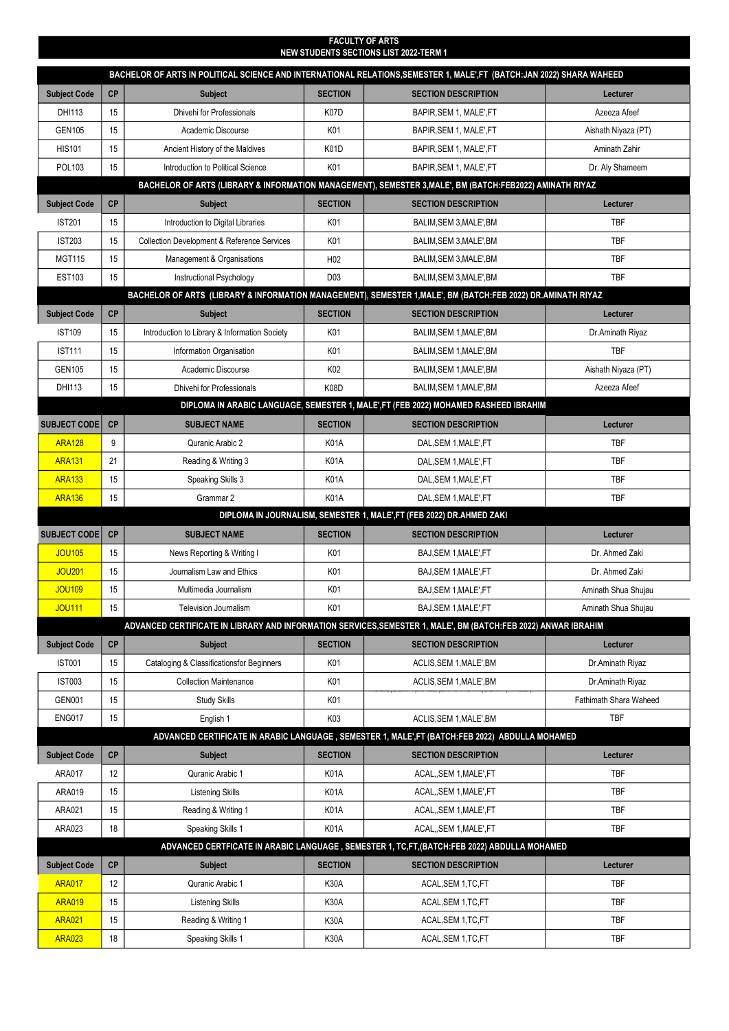| <b>FACULTY OF ARTS</b><br>NEW STUDENTS SECTIONS LIST 2022-TERM 1                                             |           |                                                        |                  |                                                                                                                       |                               |  |  |  |
|--------------------------------------------------------------------------------------------------------------|-----------|--------------------------------------------------------|------------------|-----------------------------------------------------------------------------------------------------------------------|-------------------------------|--|--|--|
|                                                                                                              |           |                                                        |                  | BACHELOR OF ARTS IN POLITICAL SCIENCE AND INTERNATIONAL RELATIONS, SEMESTER 1, MALE',FT (BATCH:JAN 2022) SHARA WAHEED |                               |  |  |  |
| <b>Subject Code</b>                                                                                          | <b>CP</b> | <b>Subject</b>                                         | <b>SECTION</b>   | <b>SECTION DESCRIPTION</b>                                                                                            | Lecturer                      |  |  |  |
| DHI113                                                                                                       | 15        | Dhivehi for Professionals                              | K07D             | BAPIR, SEM 1, MALE', FT                                                                                               | Azeeza Afeef                  |  |  |  |
| <b>GEN105</b>                                                                                                | 15        | Academic Discourse                                     | K01              | BAPIR, SEM 1, MALE', FT                                                                                               | Aishath Niyaza (PT)           |  |  |  |
| <b>HIS101</b>                                                                                                | 15        | Ancient History of the Maldives                        | K01D             | BAPIR, SEM 1, MALE', FT                                                                                               | Aminath Zahir                 |  |  |  |
| <b>POL103</b>                                                                                                | 15        | Introduction to Political Science                      | K01              | BAPIR, SEM 1, MALE', FT                                                                                               | Dr. Aly Shameem               |  |  |  |
| BACHELOR OF ARTS (LIBRARY & INFORMATION MANAGEMENT), SEMESTER 3, MALE', BM (BATCH:FEB2022) AMINATH RIYAZ     |           |                                                        |                  |                                                                                                                       |                               |  |  |  |
| <b>Subject Code</b>                                                                                          | <b>CP</b> | <b>Subject</b>                                         | <b>SECTION</b>   | <b>SECTION DESCRIPTION</b>                                                                                            | Lecturer                      |  |  |  |
| <b>IST201</b>                                                                                                | 15        | Introduction to Digital Libraries                      | K01              | BALIM, SEM 3, MALE', BM                                                                                               | <b>TBF</b>                    |  |  |  |
| <b>IST203</b>                                                                                                | 15        | <b>Collection Development &amp; Reference Services</b> | K01              | BALIM, SEM 3, MALE', BM                                                                                               | <b>TBF</b>                    |  |  |  |
| <b>MGT115</b>                                                                                                | 15        | Management & Organisations                             | H <sub>02</sub>  | BALIM, SEM 3, MALE', BM                                                                                               | <b>TBF</b>                    |  |  |  |
| <b>EST103</b>                                                                                                | 15        | Instructional Psychology                               | D <sub>0</sub> 3 | BALIM, SEM 3, MALE', BM                                                                                               | <b>TBF</b>                    |  |  |  |
| BACHELOR OF ARTS (LIBRARY & INFORMATION MANAGEMENT), SEMESTER 1, MALE', BM (BATCH:FEB 2022) DR.AMINATH RIYAZ |           |                                                        |                  |                                                                                                                       |                               |  |  |  |
| <b>Subject Code</b>                                                                                          | CP        | <b>Subject</b>                                         | <b>SECTION</b>   | <b>SECTION DESCRIPTION</b>                                                                                            | Lecturer                      |  |  |  |
| <b>IST109</b>                                                                                                | 15        | Introduction to Library & Information Society          | K01              | BALIM, SEM 1, MALE', BM                                                                                               | Dr. Aminath Riyaz             |  |  |  |
| <b>IST111</b>                                                                                                | 15        | Information Organisation                               | K01              | BALIM, SEM 1, MALE', BM                                                                                               | <b>TBF</b>                    |  |  |  |
| <b>GEN105</b>                                                                                                | 15        | Academic Discourse                                     | K02              | BALIM, SEM 1, MALE', BM                                                                                               | Aishath Niyaza (PT)           |  |  |  |
| DHI113                                                                                                       | 15        | Dhivehi for Professionals                              | K08D             | BALIM.SEM 1.MALE'.BM                                                                                                  | Azeeza Afeef                  |  |  |  |
|                                                                                                              |           |                                                        |                  | DIPLOMA IN ARABIC LANGUAGE, SEMESTER 1, MALE',FT (FEB 2022) MOHAMED RASHEED IBRAHIM                                   |                               |  |  |  |
| <b>SUBJECT CODE</b>                                                                                          | CP        | <b>SUBJECT NAME</b>                                    | <b>SECTION</b>   | <b>SECTION DESCRIPTION</b>                                                                                            | Lecturer                      |  |  |  |
| <b>ARA128</b>                                                                                                | 9         | Quranic Arabic 2                                       | K01A             | DAL, SEM 1, MALE', FT                                                                                                 | <b>TBF</b>                    |  |  |  |
| <b>ARA131</b>                                                                                                | 21        | Reading & Writing 3                                    | K01A             | DAL, SEM 1, MALE', FT                                                                                                 | <b>TBF</b>                    |  |  |  |
| <b>ARA133</b>                                                                                                | 15        | Speaking Skills 3                                      | K01A             | DAL, SEM 1, MALE', FT                                                                                                 | <b>TBF</b>                    |  |  |  |
| <b>ARA136</b>                                                                                                | 15        | Grammar 2                                              | <b>K01A</b>      | DAL, SEM 1, MALE', FT                                                                                                 | <b>TBF</b>                    |  |  |  |
|                                                                                                              |           |                                                        |                  | DIPLOMA IN JOURNALISM, SEMESTER 1, MALE', FT (FEB 2022) DR.AHMED ZAKI                                                 |                               |  |  |  |
| <b>SUBJECT CODE</b>                                                                                          | CP        | <b>SUBJECT NAME</b>                                    | <b>SECTION</b>   | <b>SECTION DESCRIPTION</b>                                                                                            | Lecturer                      |  |  |  |
| <b>JOU105</b>                                                                                                | 15        | News Reporting & Writing I                             | K01              | BAJ, SEM 1, MALE', FT                                                                                                 | Dr. Ahmed Zaki                |  |  |  |
| <b>JOU201</b>                                                                                                | 15        | Journalism Law and Ethics                              | K01              | BAJ, SEM 1, MALE', FT                                                                                                 | Dr. Ahmed Zaki                |  |  |  |
| <b>JOU109</b>                                                                                                | 15        | Multimedia Journalism                                  | K01              | BAJ, SEM 1, MALE', FT                                                                                                 | Aminath Shua Shujau           |  |  |  |
| <b>JOU111</b>                                                                                                | 15        | <b>Television Journalism</b>                           | K01              | BAJ, SEM 1, MALE', FT                                                                                                 | Aminath Shua Shujau           |  |  |  |
|                                                                                                              |           |                                                        |                  | ADVANCED CERTIFICATE IN LIBRARY AND INFORMATION SERVICES, SEMESTER 1, MALE', BM (BATCH:FEB 2022) ANWAR IBRAHIM        |                               |  |  |  |
| <b>Subject Code</b>                                                                                          | CP        | <b>Subject</b>                                         | <b>SECTION</b>   | <b>SECTION DESCRIPTION</b>                                                                                            | Lecturer                      |  |  |  |
| <b>IST001</b>                                                                                                | 15        | Cataloging & Classificationsfor Beginners              | K01              | ACLIS, SEM 1, MALE', BM                                                                                               | Dr.Aminath Riyaz              |  |  |  |
| <b>IST003</b>                                                                                                | 15        | <b>Collection Maintenance</b>                          | K01              | ACLIS, SEM 1, MALE', BM                                                                                               | Dr.Aminath Riyaz              |  |  |  |
| <b>GEN001</b>                                                                                                | 15        | <b>Study Skills</b>                                    | K01              |                                                                                                                       | <b>Fathimath Shara Waheed</b> |  |  |  |
| <b>ENG017</b>                                                                                                | 15        | English 1                                              | K03              | ACLIS, SEM 1, MALE', BM                                                                                               | <b>TBF</b>                    |  |  |  |
|                                                                                                              |           |                                                        |                  | ADVANCED CERTIFICATE IN ARABIC LANGUAGE , SEMESTER 1, MALE', FT (BATCH: FEB 2022) ABDULLA MOHAMED                     |                               |  |  |  |
| <b>Subject Code</b>                                                                                          | CP        | <b>Subject</b>                                         | <b>SECTION</b>   | <b>SECTION DESCRIPTION</b>                                                                                            | Lecturer                      |  |  |  |
| ARA017                                                                                                       | 12        | Quranic Arabic 1                                       | K01A             | ACAL,, SEM 1, MALE', FT                                                                                               | TBF                           |  |  |  |
| ARA019                                                                                                       | 15        | Listening Skills                                       | K01A             | ACAL,, SEM 1, MALE', FT                                                                                               | <b>TBF</b>                    |  |  |  |
| ARA021                                                                                                       | 15        | Reading & Writing 1                                    | K01A             | ACAL,, SEM 1, MALE', FT                                                                                               | TBF                           |  |  |  |
| ARA023                                                                                                       | 18        | Speaking Skills 1                                      | <b>K01A</b>      | ACAL, SEM 1, MALE', FT                                                                                                | TBF                           |  |  |  |
| ADVANCED CERTFICATE IN ARABIC LANGUAGE , SEMESTER 1, TC,FT,(BATCH:FEB 2022) ABDULLA MOHAMED                  |           |                                                        |                  |                                                                                                                       |                               |  |  |  |
| <b>Subject Code</b>                                                                                          | CP        | <b>Subject</b>                                         | <b>SECTION</b>   | <b>SECTION DESCRIPTION</b>                                                                                            | Lecturer                      |  |  |  |
| <b>ARA017</b>                                                                                                | 12        | Quranic Arabic 1                                       | <b>K30A</b>      | ACAL, SEM 1, TC, FT                                                                                                   | TBF                           |  |  |  |
| <b>ARA019</b>                                                                                                | 15        | Listening Skills                                       | <b>K30A</b>      | ACAL, SEM 1, TC, FT                                                                                                   | TBF                           |  |  |  |
| <b>ARA021</b>                                                                                                | 15        | Reading & Writing 1                                    | K30A             | ACAL, SEM 1, TC, FT                                                                                                   | TBF                           |  |  |  |
| <b>ARA023</b>                                                                                                | $18$      | Speaking Skills 1                                      | <b>K30A</b>      | ACAL, SEM 1, TC, FT                                                                                                   | TBF                           |  |  |  |